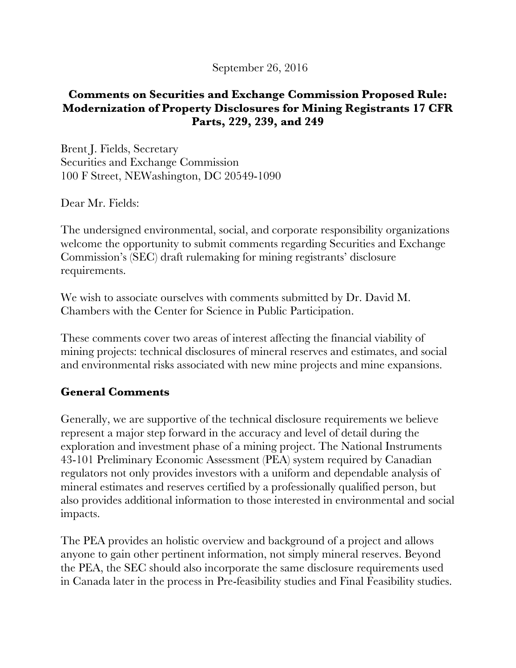#### September 26, 2016

#### **Comments on Securities and Exchange Commission Proposed Rule: Modernization of Property Disclosures for Mining Registrants 17 CFR Parts, 229, 239, and 249**

Brent J. Fields, Secretary Securities and Exchange Commission 100 F Street, NEWashington, DC 20549-1090

Dear Mr. Fields:

The undersigned environmental, social, and corporate responsibility organizations welcome the opportunity to submit comments regarding Securities and Exchange Commission's (SEC) draft rulemaking for mining registrants' disclosure requirements.

We wish to associate ourselves with comments submitted by Dr. David M. Chambers with the Center for Science in Public Participation.

These comments cover two areas of interest affecting the financial viability of mining projects: technical disclosures of mineral reserves and estimates, and social and environmental risks associated with new mine projects and mine expansions.

## **General Comments**

Generally, we are supportive of the technical disclosure requirements we believe represent a major step forward in the accuracy and level of detail during the exploration and investment phase of a mining project. The National Instruments 43-101 Preliminary Economic Assessment (PEA) system required by Canadian regulators not only provides investors with a uniform and dependable analysis of mineral estimates and reserves certified by a professionally qualified person, but also provides additional information to those interested in environmental and social impacts.

The PEA provides an holistic overview and background of a project and allows anyone to gain other pertinent information, not simply mineral reserves. Beyond the PEA, the SEC should also incorporate the same disclosure requirements used in Canada later in the process in Pre-feasibility studies and Final Feasibility studies.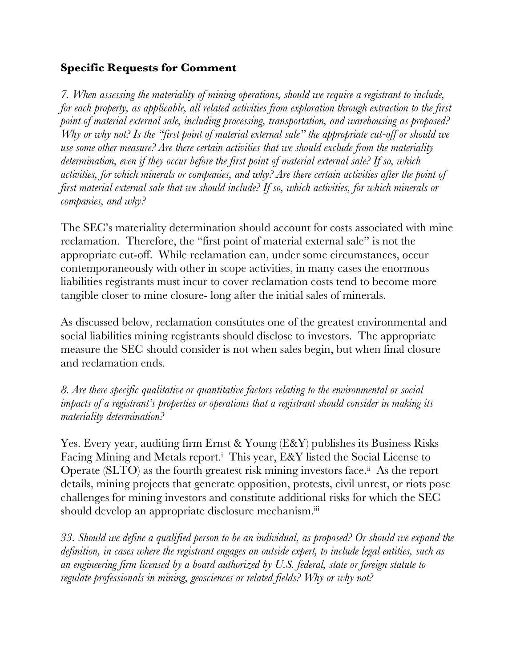## **Specific Requests for Comment**

*7. When assessing the materiality of mining operations, should we require a registrant to include, for each property, as applicable, all related activities from exploration through extraction to the first point of material external sale, including processing, transportation, and warehousing as proposed? Why or why not? Is the "first point of material external sale" the appropriate cut-off or should we use some other measure? Are there certain activities that we should exclude from the materiality determination, even if they occur before the first point of material external sale? If so, which activities, for which minerals or companies, and why? Are there certain activities after the point of first material external sale that we should include? If so, which activities, for which minerals or companies, and why?*

The SEC's materiality determination should account for costs associated with mine reclamation. Therefore, the "first point of material external sale" is not the appropriate cut-off. While reclamation can, under some circumstances, occur contemporaneously with other in scope activities, in many cases the enormous liabilities registrants must incur to cover reclamation costs tend to become more tangible closer to mine closure- long after the initial sales of minerals.

As discussed below, reclamation constitutes one of the greatest environmental and social liabilities mining registrants should disclose to investors. The appropriate measure the SEC should consider is not when sales begin, but when final closure and reclamation ends.

*8. Are there specific qualitative or quantitative factors relating to the environmental or social impacts of a registrant's properties or operations that a registrant should consider in making its materiality determination?*

Yes. Every year, auditing firm Ernst & Young (E&Y) publishes its Business Risks Facing Mining and Metals report.<sup>i</sup> This year, E&Y listed the Social License to Operate (SLTO) as the fourth greatest risk mining investors face.<sup>ii</sup> As the report details, mining projects that generate opposition, protests, civil unrest, or riots pose challenges for mining investors and constitute additional risks for which the SEC should develop an appropriate disclosure mechanism.<sup>iii</sup>

*33. Should we define a qualified person to be an individual, as proposed? Or should we expand the definition, in cases where the registrant engages an outside expert, to include legal entities, such as an engineering firm licensed by a board authorized by U.S. federal, state or foreign statute to regulate professionals in mining, geosciences or related fields? Why or why not?*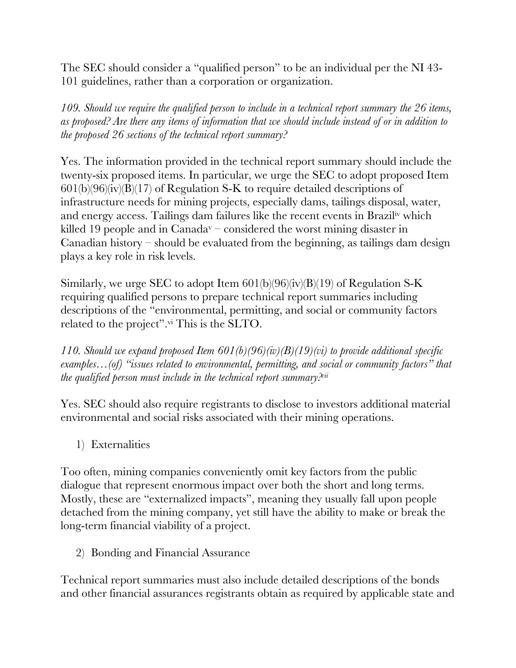The SEC should consider a "qualified person" to be an individual per the NI 43- 101 guidelines, rather than a corporation or organization.

*109. Should we require the qualified person to include in a technical report summary the 26 items, as proposed? Are there any items of information that we should include instead of or in addition to the proposed 26 sections of the technical report summary?*

Yes. The information provided in the technical report summary should include the twenty-six proposed items. In particular, we urge the SEC to adopt proposed Item  $601(b)(96)(iv)(B)(17)$  of Regulation S-K to require detailed descriptions of infrastructure needs for mining projects, especially dams, tailings disposal, water, and energy access. Tailings dam failures like the recent events in Braziliv which killed 19 people and in Canada<sup>v</sup> – considered the worst mining disaster in Canadian history – should be evaluated from the beginning, as tailings dam design plays a key role in risk levels.

Similarly, we urge SEC to adopt Item  $601(b)(96)(iv)(B)(19)$  of Regulation S-K requiring qualified persons to prepare technical report summaries including descriptions of the "environmental, permitting, and social or community factors related to the project". vi This is the SLTO.

*110. Should we expand proposed Item 601(b)(96)(iv)(B)(19)(vi) to provide additional specific examples…(of) "issues related to environmental, permitting, and social or community factors" that the qualified person must include in the technical report summary?vii*

Yes. SEC should also require registrants to disclose to investors additional material environmental and social risks associated with their mining operations.

1) Externalities

Too often, mining companies conveniently omit key factors from the public dialogue that represent enormous impact over both the short and long terms. Mostly, these are "externalized impacts", meaning they usually fall upon people detached from the mining company, yet still have the ability to make or break the long-term financial viability of a project.

2) Bonding and Financial Assurance

Technical report summaries must also include detailed descriptions of the bonds and other financial assurances registrants obtain as required by applicable state and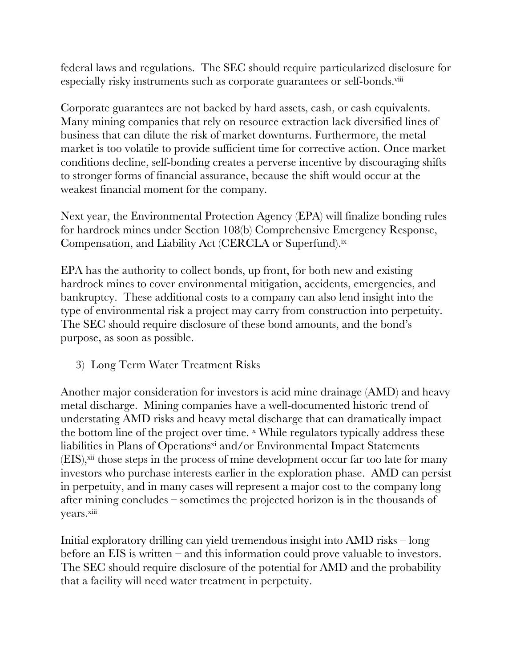federal laws and regulations. The SEC should require particularized disclosure for especially risky instruments such as corporate guarantees or self-bonds.viii

Corporate guarantees are not backed by hard assets, cash, or cash equivalents. Many mining companies that rely on resource extraction lack diversified lines of business that can dilute the risk of market downturns. Furthermore, the metal market is too volatile to provide sufficient time for corrective action. Once market conditions decline, self-bonding creates a perverse incentive by discouraging shifts to stronger forms of financial assurance, because the shift would occur at the weakest financial moment for the company.

Next year, the Environmental Protection Agency (EPA) will finalize bonding rules for hardrock mines under Section 108(b) Comprehensive Emergency Response, Compensation, and Liability Act (CERCLA or Superfund). ix

EPA has the authority to collect bonds, up front, for both new and existing hardrock mines to cover environmental mitigation, accidents, emergencies, and bankruptcy. These additional costs to a company can also lend insight into the type of environmental risk a project may carry from construction into perpetuity. The SEC should require disclosure of these bond amounts, and the bond's purpose, as soon as possible.

3) Long Term Water Treatment Risks

Another major consideration for investors is acid mine drainage (AMD) and heavy metal discharge. Mining companies have a well-documented historic trend of understating AMD risks and heavy metal discharge that can dramatically impact the bottom line of the project over time. x While regulators typically address these liabilities in Plans of Operations<sup>xi</sup> and/or Environmental Impact Statements (EIS), xii those steps in the process of mine development occur far too late for many investors who purchase interests earlier in the exploration phase. AMD can persist in perpetuity, and in many cases will represent a major cost to the company long after mining concludes – sometimes the projected horizon is in the thousands of years.xiii

Initial exploratory drilling can yield tremendous insight into AMD risks – long before an EIS is written – and this information could prove valuable to investors. The SEC should require disclosure of the potential for AMD and the probability that a facility will need water treatment in perpetuity.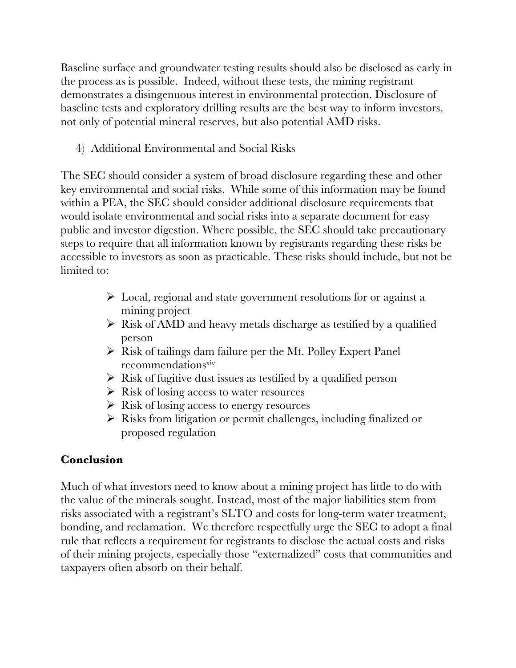Baseline surface and groundwater testing results should also be disclosed as early in the process as is possible. Indeed, without these tests, the mining registrant demonstrates a disingenuous interest in environmental protection. Disclosure of baseline tests and exploratory drilling results are the best way to inform investors, not only of potential mineral reserves, but also potential AMD risks.

4) Additional Environmental and Social Risks

The SEC should consider a system of broad disclosure regarding these and other key environmental and social risks. While some of this information may be found within a PEA, the SEC should consider additional disclosure requirements that would isolate environmental and social risks into a separate document for easy public and investor digestion. Where possible, the SEC should take precautionary steps to require that all information known by registrants regarding these risks be accessible to investors as soon as practicable. These risks should include, but not be limited to:

- $\triangleright$  Local, regional and state government resolutions for or against a mining project
- $\triangleright$  Risk of AMD and heavy metals discharge as testified by a qualified person
- $\triangleright$  Risk of tailings dam failure per the Mt. Polley Expert Panel recommendations<sup>xiv</sup>
- $\triangleright$  Risk of fugitive dust issues as testified by a qualified person
- $\triangleright$  Risk of losing access to water resources
- $\triangleright$  Risk of losing access to energy resources
- $\triangleright$  Risks from litigation or permit challenges, including finalized or proposed regulation

# **Conclusion**

Much of what investors need to know about a mining project has little to do with the value of the minerals sought. Instead, most of the major liabilities stem from risks associated with a registrant's SLTO and costs for long-term water treatment, bonding, and reclamation. We therefore respectfully urge the SEC to adopt a final rule that reflects a requirement for registrants to disclose the actual costs and risks of their mining projects, especially those "externalized" costs that communities and taxpayers often absorb on their behalf.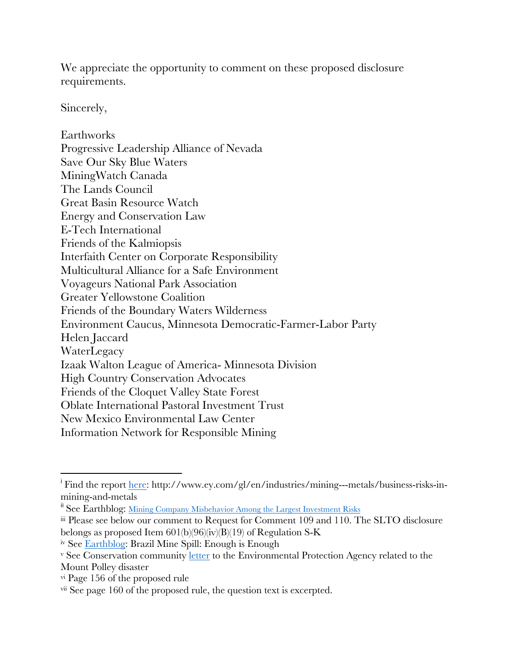We appreciate the opportunity to comment on these proposed disclosure requirements.

Sincerely,

Earthworks Progressive Leadership Alliance of Nevada Save Our Sky Blue Waters MiningWatch Canada The Lands Council Great Basin Resource Watch Energy and Conservation Law E-Tech International Friends of the Kalmiopsis Interfaith Center on Corporate Responsibility Multicultural Alliance for a Safe Environment Voyageurs National Park Association Greater Yellowstone Coalition Friends of the Boundary Waters Wilderness Environment Caucus, Minnesota Democratic-Farmer-Labor Party Helen Jaccard **WaterLegacy** Izaak Walton League of America- Minnesota Division High Country Conservation Advocates Friends of the Cloquet Valley State Forest Oblate International Pastoral Investment Trust New Mexico Environmental Law Center Information Network for Responsible Mining

 

<sup>&</sup>lt;sup>i</sup> Find the report <u>here</u>: http://www.ey.com/gl/en/industries/mining---metals/business-risks-inmining-and-metals

<sup>&</sup>lt;sup>ii</sup> See Earthblog: Mining Company Misbehavior Among the Largest Investment Risks

iii Please see below our comment to Request for Comment 109 and 110. The SLTO disclosure belongs as proposed Item  $601(b)(96)(iv)(B)(19)$  of Regulation S-K

iv See Earthblog: Brazil Mine Spill: Enough is Enough

<sup>&</sup>lt;sup>v</sup> See Conservation community letter to the Environmental Protection Agency related to the Mount Polley disaster

vi Page 156 of the proposed rule

vii See page 160 of the proposed rule, the question text is excerpted.